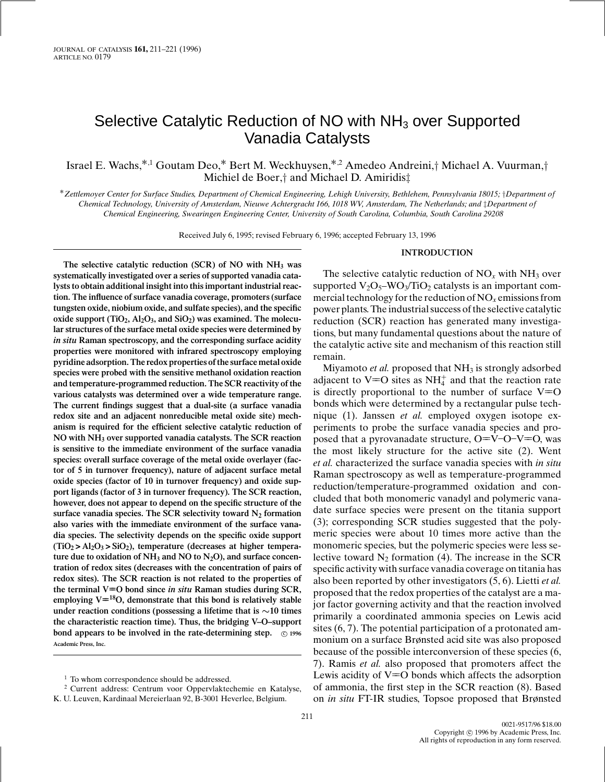# Selective Catalytic Reduction of NO with NH<sub>3</sub> over Supported Vanadia Catalysts

Israel E. Wachs,∗,1 Goutam Deo,<sup>∗</sup> Bert M. Weckhuysen,∗,2 Amedeo Andreini,† Michael A. Vuurman,† Michiel de Boer,† and Michael D. Amiridis‡

∗*Zettlemoyer Center for Surface Studies, Department of Chemical Engineering, Lehigh University, Bethlehem, Pennsylvania 18015;* †*Department of Chemical Technology, University of Amsterdam, Nieuwe Achtergracht 166, 1018 WV, Amsterdam, The Netherlands; and* ‡*Department of Chemical Engineering, Swearingen Engineering Center, University of South Carolina, Columbia, South Carolina 29208*

Received July 6, 1995; revised February 6, 1996; accepted February 13, 1996

**The selective catalytic reduction (SCR) of NO with NH3 was systematically investigated over a series of supported vanadia catalysts to obtain additional insight into this important industrial reaction. The influence of surface vanadia coverage, promoters (surface tungsten oxide, niobium oxide, and sulfate species), and the specific** oxide support (TiO<sub>2</sub>, Al<sub>2</sub>O<sub>3</sub>, and SiO<sub>2</sub>) was examined. The molecu**lar structures of the surface metal oxide species were determined by** *in situ* **Raman spectroscopy, and the corresponding surface acidity properties were monitored with infrared spectroscopy employing pyridine adsorption. The redox properties of the surface metal oxide species were probed with the sensitive methanol oxidation reaction and temperature-programmed reduction. The SCR reactivity of the various catalysts was determined over a wide temperature range. The current findings suggest that a dual-site (a surface vanadia redox site and an adjacent nonreducible metal oxide site) mechanism is required for the efficient selective catalytic reduction of NO with NH3 over supported vanadia catalysts. The SCR reaction is sensitive to the immediate environment of the surface vanadia species: overall surface coverage of the metal oxide overlayer (factor of 5 in turnover frequency), nature of adjacent surface metal oxide species (factor of 10 in turnover frequency) and oxide support ligands (factor of 3 in turnover frequency). The SCR reaction, however, does not appear to depend on the specific structure of the** surface vanadia species. The SCR selectivity toward  $N_2$  formation **also varies with the immediate environment of the surface vanadia species. The selectivity depends on the specific oxide support (TiO2** *>* **Al2O3** *>* **SiO2), temperature (decreases at higher tempera**ture due to oxidation of NH<sub>3</sub> and NO to N<sub>2</sub>O), and surface concen**tration of redox sites (decreases with the concentration of pairs of redox sites). The SCR reaction is not related to the properties of** the terminal V=O bond since *in situ* Raman studies during SCR, employing  $V=18$ O, demonstrate that this bond is relatively stable **under reaction conditions (possessing a lifetime that is** *∼***10 times the characteristic reaction time). Thus, the bridging V–O–support bond appears to be involved in the rate-determining step.**  $\odot$  1996 **Academic Press, Inc.**

## **INTRODUCTION**

The selective catalytic reduction of  $NO<sub>x</sub>$  with  $NH<sub>3</sub>$  over supported  $V_2O_5-WO_3/TiO_2$  catalysts is an important commercial technology for the reduction of  $NO<sub>x</sub>$  emissions from power plants. The industrial success of the selective catalytic reduction (SCR) reaction has generated many investigations, but many fundamental questions about the nature of the catalytic active site and mechanism of this reaction still remain.

Miyamoto *et al.* proposed that NH<sub>3</sub> is strongly adsorbed adjacent to V=O sites as  $NH_4^+$  and that the reaction rate is directly proportional to the number of surface  $V=O$ bonds which were determined by a rectangular pulse technique (1). Janssen *et al.* employed oxygen isotope experiments to probe the surface vanadia species and proposed that a pyrovanadate structure,  $O=V-O-V=O$ , was the most likely structure for the active site (2). Went *et al.* characterized the surface vanadia species with *in situ* Raman spectroscopy as well as temperature-programmed reduction/temperature-programmed oxidation and concluded that both monomeric vanadyl and polymeric vanadate surface species were present on the titania support (3); corresponding SCR studies suggested that the polymeric species were about 10 times more active than the monomeric species, but the polymeric species were less selective toward  $N_2$  formation (4). The increase in the SCR specific activity with surface vanadia coverage on titania has also been reported by other investigators (5, 6). Lietti *et al.* proposed that the redox properties of the catalyst are a major factor governing activity and that the reaction involved primarily a coordinated ammonia species on Lewis acid sites (6, 7). The potential participation of a protonated ammonium on a surface Brønsted acid site was also proposed because of the possible interconversion of these species (6, 7). Ramis *et al.* also proposed that promoters affect the Lewis acidity of  $V=O$  bonds which affects the adsorption of ammonia, the first step in the SCR reaction (8). Based on *in situ* FT-IR studies, Topsoe proposed that Brønsted

<sup>&</sup>lt;sup>1</sup> To whom correspondence should be addressed.

<sup>2</sup> Current address: Centrum voor Oppervlaktechemie en Katalyse, K. U. Leuven, Kardinaal Mereierlaan 92, B-3001 Heverlee, Belgium.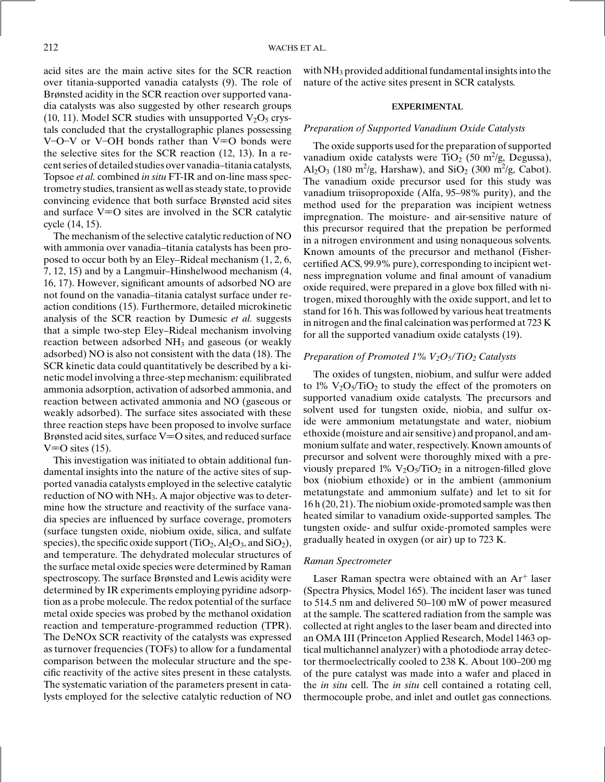acid sites are the main active sites for the SCR reaction over titania-supported vanadia catalysts (9). The role of Brønsted acidity in the SCR reaction over supported vanadia catalysts was also suggested by other research groups (10, 11). Model SCR studies with unsupported  $V_2O_5$  crystals concluded that the crystallographic planes possessing V–O–V or V–OH bonds rather than  $V=O$  bonds were the selective sites for the SCR reaction (12, 13). In a recent series of detailed studies over vanadia–titania catalysts, Topsoe *et al.* combined *in situ* FT-IR and on-line mass spectrometry studies, transient as well as steady state, to provide convincing evidence that both surface Brønsted acid sites and surface  $V=O$  sites are involved in the SCR catalytic cycle (14, 15).

The mechanism of the selective catalytic reduction of NO with ammonia over vanadia–titania catalysts has been proposed to occur both by an Eley–Rideal mechanism (1, 2, 6, 7, 12, 15) and by a Langmuir–Hinshelwood mechanism (4, 16, 17). However, significant amounts of adsorbed NO are not found on the vanadia–titania catalyst surface under reaction conditions (15). Furthermore, detailed microkinetic analysis of the SCR reaction by Dumesic *et al.* suggests that a simple two-step Eley–Rideal mechanism involving reaction between adsorbed NH<sub>3</sub> and gaseous (or weakly adsorbed) NO is also not consistent with the data (18). The SCR kinetic data could quantitatively be described by a kinetic model involving a three-step mechanism: equilibrated ammonia adsorption, activation of adsorbed ammonia, and reaction between activated ammonia and NO (gaseous or weakly adsorbed). The surface sites associated with these three reaction steps have been proposed to involve surface Brønsted acid sites, surface  $V=O$  sites, and reduced surface  $V=O$  sites (15).

This investigation was initiated to obtain additional fundamental insights into the nature of the active sites of supported vanadia catalysts employed in the selective catalytic reduction of NO with NH<sub>3</sub>. A major objective was to determine how the structure and reactivity of the surface vanadia species are influenced by surface coverage, promoters (surface tungsten oxide, niobium oxide, silica, and sulfate species), the specific oxide support (TiO<sub>2</sub>,  $Al_2O_3$ , and  $SiO_2$ ), and temperature. The dehydrated molecular structures of the surface metal oxide species were determined by Raman spectroscopy. The surface Brønsted and Lewis acidity were determined by IR experiments employing pyridine adsorption as a probe molecule. The redox potential of the surface metal oxide species was probed by the methanol oxidation reaction and temperature-programmed reduction (TPR). The DeNOx SCR reactivity of the catalysts was expressed as turnover frequencies (TOFs) to allow for a fundamental comparison between the molecular structure and the specific reactivity of the active sites present in these catalysts. The systematic variation of the parameters present in catalysts employed for the selective catalytic reduction of NO with NH<sub>3</sub> provided additional fundamental insights into the nature of the active sites present in SCR catalysts.

## **EXPERIMENTAL**

## *Preparation of Supported Vanadium Oxide Catalysts*

The oxide supports used for the preparation of supported vanadium oxide catalysts were  $TiO<sub>2</sub>$  (50 m<sup>2</sup>/g, Degussa), Al<sub>2</sub>O<sub>3</sub> (180 m<sup>2</sup>/g, Harshaw), and SiO<sub>2</sub> (300 m<sup>2</sup>/g, Cabot). The vanadium oxide precursor used for this study was vanadium triisopropoxide (Alfa, 95–98% purity), and the method used for the preparation was incipient wetness impregnation. The moisture- and air-sensitive nature of this precursor required that the prepation be performed in a nitrogen environment and using nonaqueous solvents. Known amounts of the precursor and methanol (Fishercertified ACS, 99.9% pure), corresponding to incipient wetness impregnation volume and final amount of vanadium oxide required, were prepared in a glove box filled with nitrogen, mixed thoroughly with the oxide support, and let to stand for 16 h. This was followed by various heat treatments in nitrogen and the final calcination was performed at 723 K for all the supported vanadium oxide catalysts (19).

# *Preparation of Promoted 1% V2O5/TiO2 Catalysts*

The oxides of tungsten, niobium, and sulfur were added to  $1\%$  V<sub>2</sub>O<sub>5</sub>/TiO<sub>2</sub> to study the effect of the promoters on supported vanadium oxide catalysts. The precursors and solvent used for tungsten oxide, niobia, and sulfur oxide were ammonium metatungstate and water, niobium ethoxide (moisture and air sensitive) and propanol, and ammonium sulfate and water, respectively. Known amounts of precursor and solvent were thoroughly mixed with a previously prepared  $1\%$  V<sub>2</sub>O<sub>5</sub>/TiO<sub>2</sub> in a nitrogen-filled glove box (niobium ethoxide) or in the ambient (ammonium metatungstate and ammonium sulfate) and let to sit for 16 h (20, 21). The niobium oxide-promoted sample was then heated similar to vanadium oxide-supported samples. The tungsten oxide- and sulfur oxide-promoted samples were gradually heated in oxygen (or air) up to 723 K.

## *Raman Spectrometer*

Laser Raman spectra were obtained with an  $Ar^+$  laser (Spectra Physics, Model 165). The incident laser was tuned to 514.5 nm and delivered 50–100 mW of power measured at the sample. The scattered radiation from the sample was collected at right angles to the laser beam and directed into an OMA III (Princeton Applied Research, Model 1463 optical multichannel analyzer) with a photodiode array detector thermoelectrically cooled to 238 K. About 100–200 mg of the pure catalyst was made into a wafer and placed in the *in situ* cell. The *in situ* cell contained a rotating cell, thermocouple probe, and inlet and outlet gas connections.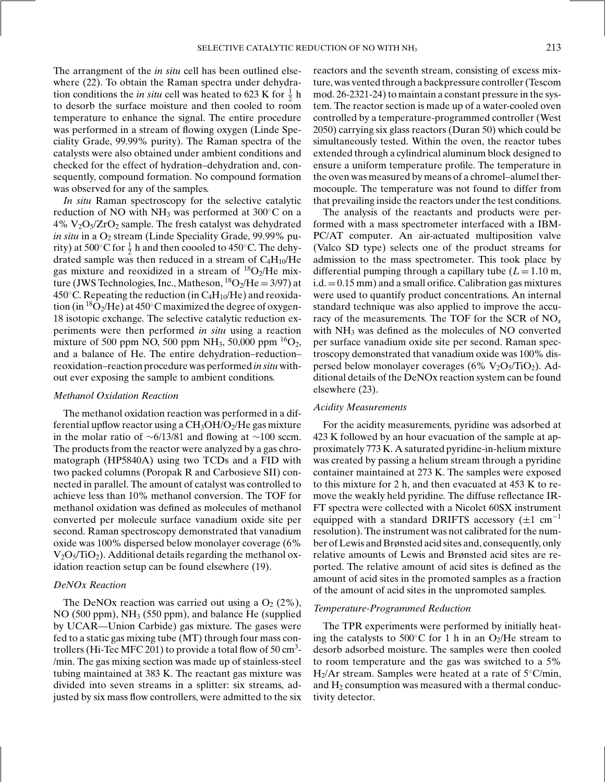The arrangment of the *in situ* cell has been outlined elsewhere (22). To obtain the Raman spectra under dehydration conditions the *in situ* cell was heated to 623 K for  $\frac{1}{2}$  h to desorb the surface moisture and then cooled to room temperature to enhance the signal. The entire procedure was performed in a stream of flowing oxygen (Linde Speciality Grade, 99.99% purity). The Raman spectra of the catalysts were also obtained under ambient conditions and checked for the effect of hydration–dehydration and, consequently, compound formation. No compound formation was observed for any of the samples.

*In situ* Raman spectroscopy for the selective catalytic reduction of NO with NH<sub>3</sub> was performed at  $300^{\circ}$ C on a  $4\%$  V<sub>2</sub>O<sub>5</sub>/ZrO<sub>2</sub> sample. The fresh catalyst was dehydrated *in situ* in a O<sub>2</sub> stream (Linde Speciality Grade, 99.99% purity) at 500°C for  $\frac{1}{2}$  h and then coooled to 450°C. The dehydrated sample was then reduced in a stream of  $C_4H_{10}/He$ gas mixture and reoxidized in a stream of  ${}^{18}O_2$ /He mixture (JWS Technologies, Inc., Matheson,  ${}^{18}O_2$ /He = 3/97) at 450 $\degree$ C. Repeating the reduction (in C<sub>4</sub>H<sub>10</sub>/He) and reoxidation (in  ${}^{18}O_2$ /He) at 450°C maximized the degree of oxygen-18 isotopic exchange. The selective catalytic reduction experiments were then performed *in situ* using a reaction mixture of 500 ppm NO, 500 ppm NH<sub>3</sub>, 50,000 ppm  ${}^{16}O_2$ , and a balance of He. The entire dehydration–reduction– reoxidation–reaction procedure was performed *in situ* without ever exposing the sample to ambient conditions.

## *Methanol Oxidation Reaction*

The methanol oxidation reaction was performed in a differential upflow reactor using a  $CH<sub>3</sub>OH/O<sub>2</sub>/He$  gas mixture in the molar ratio of ∼6/13/81 and flowing at ∼100 sccm. The products from the reactor were analyzed by a gas chromatograph (HP5840A) using two TCDs and a FID with two packed columns (Poropak R and Carbosieve SII) connected in parallel. The amount of catalyst was controlled to achieve less than 10% methanol conversion. The TOF for methanol oxidation was defined as molecules of methanol converted per molecule surface vanadium oxide site per second. Raman spectroscopy demonstrated that vanadium oxide was 100% dispersed below monolayer coverage (6%  $V_2O_5/TiO_2$ ). Additional details regarding the methanol oxidation reaction setup can be found elsewhere (19).

## *DeNOx Reaction*

The DeNOx reaction was carried out using a  $O_2$  (2%), NO (500 ppm), NH3 (550 ppm), and balance He (supplied by UCAR—Union Carbide) gas mixture. The gases were fed to a static gas mixing tube (MT) through four mass controllers (Hi-Tec MFC 201) to provide a total flow of 50  $\text{cm}^3$ -/min. The gas mixing section was made up of stainless-steel tubing maintained at 383 K. The reactant gas mixture was divided into seven streams in a splitter: six streams, adjusted by six mass flow controllers, were admitted to the six reactors and the seventh stream, consisting of excess mixture, was vented through a backpressure controller (Tescom mod. 26-2321-24) to maintain a constant pressure in the system. The reactor section is made up of a water-cooled oven controlled by a temperature-programmed controller (West 2050) carrying six glass reactors (Duran 50) which could be simultaneously tested. Within the oven, the reactor tubes extended through a cylindrical aluminum block designed to ensure a uniform temperature profile. The temperature in the oven was measured by means of a chromel–alumel thermocouple. The temperature was not found to differ from that prevailing inside the reactors under the test conditions.

The analysis of the reactants and products were performed with a mass spectrometer interfaced with a IBM-PC/AT computer. An air-actuated multiposition valve (Valco SD type) selects one of the product streams for admission to the mass spectrometer. This took place by differential pumping through a capillary tube  $(L = 1.10 \text{ m}$ ,  $i.d. = 0.15$  mm) and a small orifice. Calibration gas mixtures were used to quantify product concentrations. An internal standard technique was also applied to improve the accuracy of the measurements. The TOF for the SCR of NO*<sup>x</sup>* with NH<sub>3</sub> was defined as the molecules of NO converted per surface vanadium oxide site per second. Raman spectroscopy demonstrated that vanadium oxide was 100% dispersed below monolayer coverages ( $6\%$  V<sub>2</sub>O<sub>5</sub>/TiO<sub>2</sub>). Additional details of the DeNOx reaction system can be found elsewhere (23).

## *Acidity Measurements*

For the acidity measurements, pyridine was adsorbed at 423 K followed by an hour evacuation of the sample at approximately 773 K. A saturated pyridine-in-helium mixture was created by passing a helium stream through a pyridine container maintained at 273 K. The samples were exposed to this mixture for 2 h, and then evacuated at 453 K to remove the weakly held pyridine. The diffuse reflectance IR-FT spectra were collected with a Nicolet 60SX instrument equipped with a standard DRIFTS accessory ( $\pm 1$  cm<sup>-1</sup> resolution). The instrument was not calibrated for the number of Lewis and Brønsted acid sites and, consequently, only relative amounts of Lewis and Brønsted acid sites are reported. The relative amount of acid sites is defined as the amount of acid sites in the promoted samples as a fraction of the amount of acid sites in the unpromoted samples.

## *Temperature-Programmed Reduction*

The TPR experiments were performed by initially heating the catalysts to 500 $\degree$ C for 1 h in an O<sub>2</sub>/He stream to desorb adsorbed moisture. The samples were then cooled to room temperature and the gas was switched to a 5% H<sub>2</sub>/Ar stream. Samples were heated at a rate of  $5^{\circ}$ C/min, and  $H<sub>2</sub>$  consumption was measured with a thermal conductivity detector.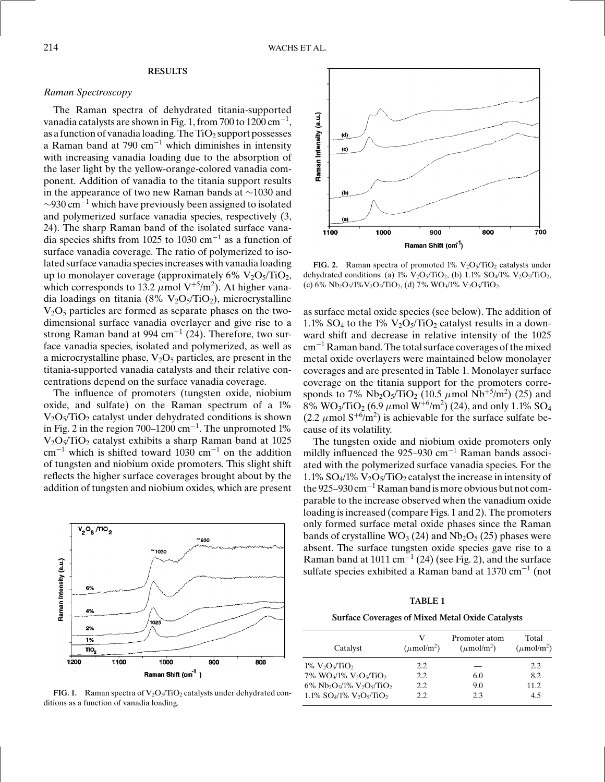#### **RESULTS**

## *Raman Spectroscopy*

The Raman spectra of dehydrated titania-supported vanadia catalysts are shown in Fig. 1, from 700 to 1200 cm $^{-1}$ , as a function of vanadia loading. The  $TiO<sub>2</sub>$  support possesses a Raman band at 790 cm−<sup>1</sup> which diminishes in intensity with increasing vanadia loading due to the absorption of the laser light by the yellow-orange-colored vanadia component. Addition of vanadia to the titania support results in the appearance of two new Raman bands at ∼1030 and  $\sim$ 930 cm<sup>-1</sup> which have previously been assigned to isolated and polymerized surface vanadia species, respectively (3, 24). The sharp Raman band of the isolated surface vanadia species shifts from 1025 to 1030 cm<sup>-1</sup> as a function of surface vanadia coverage. The ratio of polymerized to isolated surface vanadia species increases with vanadia loading up to monolayer coverage (approximately  $6\%$  V<sub>2</sub>O<sub>5</sub>/TiO<sub>2</sub>, which corresponds to 13.2  $\mu$ mol V<sup>+5</sup>/m<sup>2</sup>). At higher vanadia loadings on titania (8%  $V_2O_5/TiO_2$ ), microcrystalline  $V<sub>2</sub>O<sub>5</sub>$  particles are formed as separate phases on the twodimensional surface vanadia overlayer and give rise to a strong Raman band at 994 cm<sup>-1</sup> (24). Therefore, two surface vanadia species, isolated and polymerized, as well as a microcrystalline phase,  $V_2O_5$  particles, are present in the titania-supported vanadia catalysts and their relative concentrations depend on the surface vanadia coverage.

The influence of promoters (tungsten oxide, niobium oxide, and sulfate) on the Raman spectrum of a 1%  $V_2O<sub>5</sub>/TiO<sub>2</sub>$  catalyst under dehydrated conditions is shown in Fig. 2 in the region 700–1200 cm<sup>-1</sup>. The unpromoted 1%  $V_2O_5/TiO_2$  catalyst exhibits a sharp Raman band at 1025  $cm^{-1}$  which is shifted toward 1030 cm<sup>-1</sup> on the addition of tungsten and niobium oxide promoters. This slight shift reflects the higher surface coverages brought about by the addition of tungsten and niobium oxides, which are present



**FIG. 1.** Raman spectra of  $V_2O_5/TiO_2$  catalysts under dehydrated conditions as a function of vanadia loading.



**FIG. 2.** Raman spectra of promoted  $1\%$   $V_2O_5/TiO_2$  catalysts under dehydrated conditions. (a)  $1\%$   $V_2O_5/TiO_2$ , (b)  $1.1\%$   $SO_4/1\%$   $V_2O_5/TiO_2$ , (c) 6%  $Nb_2O_5/1\%V_2O_5/TiO_2$ , (d) 7%  $WO_3/1\%V_2O_5/TiO_2$ .

as surface metal oxide species (see below). The addition of 1.1% SO<sub>4</sub> to the 1%  $V_2O_5/TiO_2$  catalyst results in a downward shift and decrease in relative intensity of the 1025 cm−<sup>1</sup> Raman band. The total surface coverages of the mixed metal oxide overlayers were maintained below monolayer coverages and are presented in Table 1. Monolayer surface coverage on the titania support for the promoters corresponds to 7%  $Nb_2O_5/TiO_2$  (10.5  $\mu$ mol Nb<sup>+5</sup>/m<sup>2</sup>) (25) and 8% WO3/TiO $_2$  (6.9  $\mu$ mol W $^{+6}$ /m $^2$ ) (24), and only 1.1% SO $_4$  $(2.2 \ \mu \text{mol s}^{+6}\text{/m}^2)$  is achievable for the surface sulfate because of its volatility.

The tungsten oxide and niobium oxide promoters only mildly influenced the 925–930 cm<sup>-1</sup> Raman bands associated with the polymerized surface vanadia species. For the 1.1%  $SO_4/1\%$   $V_2O_5/TiO_2$  catalyst the increase in intensity of the 925–930 cm<sup>-1</sup> Raman band is more obvious but not comparable to the increase observed when the vanadium oxide loading is increased (compare Figs. 1 and 2). The promoters only formed surface metal oxide phases since the Raman bands of crystalline  $WO_3$  (24) and  $Nb_2O_5$  (25) phases were absent. The surface tungsten oxide species gave rise to a Raman band at 1011 cm<sup> $-1$ </sup> (24) (see Fig. 2), and the surface sulfate species exhibited a Raman band at 1370 cm−<sup>1</sup> (not

#### **TABLE 1**

#### **Surface Coverages of Mixed Metal Oxide Catalysts**

| v<br>$(\mu$ mol/m <sup>2</sup> ) | Promoter atom<br>$(\mu$ mol/m <sup>2</sup> ) | Total<br>$(\mu$ mol/m <sup>2</sup> ) |
|----------------------------------|----------------------------------------------|--------------------------------------|
| 2.2                              |                                              | 2.2                                  |
| 2.2                              | 6.0                                          | 8.2                                  |
| 2.2                              | 9.0                                          | 11.2                                 |
| 2.2                              | 2.3                                          | 4.5                                  |
|                                  |                                              |                                      |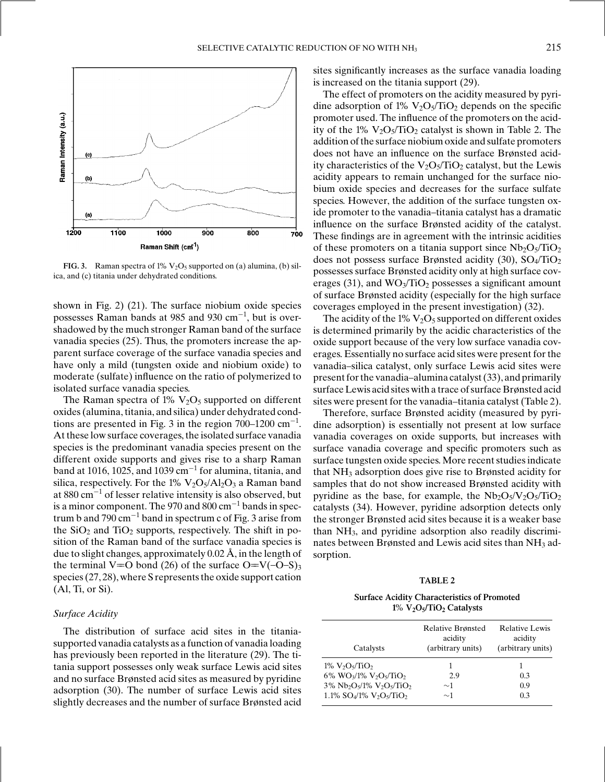

**FIG. 3.** Raman spectra of  $1\%$  V<sub>2</sub>O<sub>5</sub> supported on (a) alumina, (b) silica, and (c) titania under dehydrated conditions.

shown in Fig. 2) (21). The surface niobium oxide species possesses Raman bands at 985 and 930 cm<sup>-1</sup>, but is overshadowed by the much stronger Raman band of the surface vanadia species (25). Thus, the promoters increase the apparent surface coverage of the surface vanadia species and have only a mild (tungsten oxide and niobium oxide) to moderate (sulfate) influence on the ratio of polymerized to isolated surface vanadia species.

The Raman spectra of  $1\%$   $V_2O_5$  supported on different oxides (alumina, titania, and silica) under dehydrated condtions are presented in Fig. 3 in the region  $700-1200$  cm<sup>-1</sup>. At these low surface coverages, the isolated surface vanadia species is the predominant vanadia species present on the different oxide supports and gives rise to a sharp Raman band at 1016, 1025, and 1039 cm<sup>-1</sup> for alumina, titania, and silica, respectively. For the  $1\%$  V<sub>2</sub>O<sub>5</sub>/Al<sub>2</sub>O<sub>3</sub> a Raman band at 880 cm−<sup>1</sup> of lesser relative intensity is also observed, but is a minor component. The 970 and 800 cm<sup>-1</sup> bands in spectrum b and 790 cm<sup>-1</sup> band in spectrum c of Fig. 3 arise from the  $SiO<sub>2</sub>$  and  $TiO<sub>2</sub>$  supports, respectively. The shift in position of the Raman band of the surface vanadia species is due to slight changes, approximately  $0.02 \text{ Å}$ , in the length of the terminal V=O bond (26) of the surface  $O=V(-O-S)_{3}$ species (27, 28), where S represents the oxide support cation (Al, Ti, or Si).

### *Surface Acidity*

The distribution of surface acid sites in the titaniasupported vanadia catalysts as a function of vanadia loading has previously been reported in the literature (29). The titania support possesses only weak surface Lewis acid sites and no surface Brønsted acid sites as measured by pyridine adsorption (30). The number of surface Lewis acid sites slightly decreases and the number of surface Brønsted acid sites significantly increases as the surface vanadia loading is increased on the titania support (29).

The effect of promoters on the acidity measured by pyridine adsorption of 1%  $V_2O_5/TiO_2$  depends on the specific promoter used. The influence of the promoters on the acidity of the  $1\%$  V<sub>2</sub>O<sub>5</sub>/TiO<sub>2</sub> catalyst is shown in Table 2. The addition of the surface niobium oxide and sulfate promoters does not have an influence on the surface Brønsted acidity characteristics of the  $V_2O_5/TiO_2$  catalyst, but the Lewis acidity appears to remain unchanged for the surface niobium oxide species and decreases for the surface sulfate species. However, the addition of the surface tungsten oxide promoter to the vanadia–titania catalyst has a dramatic influence on the surface Brønsted acidity of the catalyst. These findings are in agreement with the intrinsic acidities of these promoters on a titania support since  $Nb<sub>2</sub>O<sub>5</sub>/TiO<sub>2</sub>$ does not possess surface Brønsted acidity (30),  $SO_4/TiO_2$ possesses surface Brønsted acidity only at high surface coverages (31), and  $WO_3/TiO_2$  possesses a significant amount of surface Brønsted acidity (especially for the high surface coverages employed in the present investigation) (32).

The acidity of the 1%  $V_2O_5$  supported on different oxides is determined primarily by the acidic characteristics of the oxide support because of the very low surface vanadia coverages. Essentially no surface acid sites were present for the vanadia–silica catalyst, only surface Lewis acid sites were present for the vanadia–alumina catalyst (33), and primarily surface Lewis acid sites with a trace of surface Brønsted acid sites were present for the vanadia–titania catalyst (Table 2).

Therefore, surface Brønsted acidity (measured by pyridine adsorption) is essentially not present at low surface vanadia coverages on oxide supports, but increases with surface vanadia coverage and specific promoters such as surface tungsten oxide species. More recent studies indicate that  $NH<sub>3</sub>$  adsorption does give rise to Brønsted acidity for samples that do not show increased Brønsted acidity with pyridine as the base, for example, the  $Nb_2O_5/V_2O_5/TiO_2$ catalysts (34). However, pyridine adsorption detects only the stronger Brønsted acid sites because it is a weaker base than NH3, and pyridine adsorption also readily discriminates between Brønsted and Lewis acid sites than NH<sub>3</sub> adsorption.

## **TABLE 2**

**Surface Acidity Characteristics of Promoted 1**% **V2O5/TiO2 Catalysts**

| Catalysts                                                                                | Relative Brønsted<br>acidity<br>(arbitrary units) | Relative Lewis<br>acidity<br>(arbitrary units) |
|------------------------------------------------------------------------------------------|---------------------------------------------------|------------------------------------------------|
| $1\% \text{ V}_2\text{O}_5/\text{TiO}_2$                                                 |                                                   |                                                |
| $6\%$ WO <sub>3</sub> /1% V <sub>2</sub> O <sub>5</sub> /TiO <sub>2</sub>                | 2.9                                               | 0.3                                            |
| $3\%$ Nb <sub>2</sub> O <sub>5</sub> /1% V <sub>2</sub> O <sub>5</sub> /TiO <sub>2</sub> | $\sim$ 1                                          | 0.9                                            |
| 1.1% $SO_4/1\%$ V <sub>2</sub> O <sub>5</sub> /TiO <sub>2</sub>                          | $\sim$ 1                                          | 0.3                                            |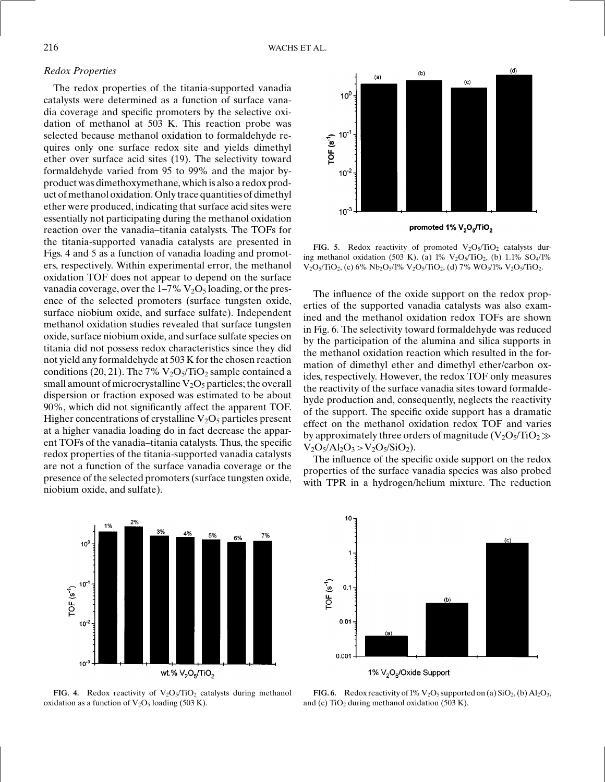## *Redox Properties*

The redox properties of the titania-supported vanadia catalysts were determined as a function of surface vanadia coverage and specific promoters by the selective oxidation of methanol at 503 K. This reaction probe was selected because methanol oxidation to formaldehyde requires only one surface redox site and yields dimethyl ether over surface acid sites (19). The selectivity toward formaldehyde varied from 95 to 99% and the major byproduct was dimethoxymethane, which is also a redox product of methanol oxidation. Only trace quantities of dimethyl ether were produced, indicating that surface acid sites were essentially not participating during the methanol oxidation reaction over the vanadia–titania catalysts. The TOFs for the titania-supported vanadia catalysts are presented in Figs. 4 and 5 as a function of vanadia loading and promoters, respectively. Within experimental error, the methanol oxidation TOF does not appear to depend on the surface vanadia coverage, over the  $1-7\%$  V<sub>2</sub>O<sub>5</sub> loading, or the presence of the selected promoters (surface tungsten oxide, surface niobium oxide, and surface sulfate). Independent methanol oxidation studies revealed that surface tungsten oxide, surface niobium oxide, and surface sulfate species on titania did not possess redox characteristics since they did not yield any formaldehyde at 503 K for the chosen reaction conditions (20, 21). The 7%  $V_2O_5/TiO_2$  sample contained a small amount of microcrystalline  $V_2O_5$  particles; the overall dispersion or fraction exposed was estimated to be about 90%, which did not significantly affect the apparent TOF. Higher concentrations of crystalline  $V_2O_5$  particles present at a higher vanadia loading do in fact decrease the apparent TOFs of the vanadia–titania catalysts. Thus, the specific redox properties of the titania-supported vanadia catalysts are not a function of the surface vanadia coverage or the presence of the selected promoters (surface tungsten oxide, niobium oxide, and sulfate).



promoted 1% V<sub>2</sub>O<sub>5</sub>/TiO<sub>2</sub>

**FIG. 5.** Redox reactivity of promoted  $V_2O<sub>5</sub>/TiO<sub>2</sub>$  catalysts during methanol oxidation (503 K). (a)  $1\%$  V<sub>2</sub>O<sub>5</sub>/TiO<sub>2</sub>, (b)  $1.1\%$  SO<sub>4</sub>/1%  $V_2O_5/TiO_2$ , (c) 6% Nb<sub>2</sub>O<sub>5</sub>/1%  $V_2O_5/TiO_2$ , (d) 7% WO<sub>3</sub>/1%  $V_2O_5/TiO_2$ .

The influence of the oxide support on the redox properties of the supported vanadia catalysts was also examined and the methanol oxidation redox TOFs are shown in Fig. 6. The selectivity toward formaldehyde was reduced by the participation of the alumina and silica supports in the methanol oxidation reaction which resulted in the formation of dimethyl ether and dimethyl ether/carbon oxides, respectively. However, the redox TOF only measures the reactivity of the surface vanadia sites toward formaldehyde production and, consequently, neglects the reactivity of the support. The specific oxide support has a dramatic effect on the methanol oxidation redox TOF and varies by approximately three orders of magnitude  $(V_2O_5/TiO_2)$  $V_2O_5/Al_2O_3 > V_2O_5/SiO_2$ .

The influence of the specific oxide support on the redox properties of the surface vanadia species was also probed with TPR in a hydrogen/helium mixture. The reduction



**FIG. 4.** Redox reactivity of  $V_2O_5/TiO_2$  catalysts during methanol oxidation as a function of  $V_2O_5$  loading (503 K).



**FIG. 6.** Redox reactivity of 1%  $V_2O_5$  supported on (a)  $SiO_2$ , (b)  $Al_2O_3$ , and (c)  $TiO<sub>2</sub>$  during methanol oxidation (503 K).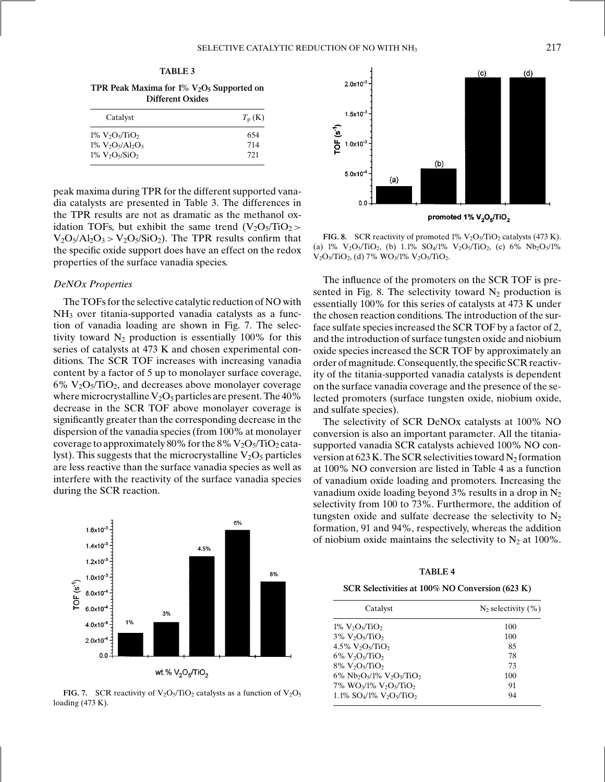**TPR Peak Maxima for 1%**  $V_2O_5$  **Supported on Different Oxides**

| Catalyst                                          | $T_{\rm p}$ (K) |
|---------------------------------------------------|-----------------|
| $1\% \text{ V}_2\text{O}_5/\text{TiO}_2$          | 654             |
| $1\% \text{ V}_2\text{O}_5/\text{Al}_2\text{O}_3$ | 714             |
| $1\% \text{ V}_2\text{O}_5/\text{SiO}_2$          | 721             |

peak maxima during TPR for the different supported vanadia catalysts are presented in Table 3. The differences in the TPR results are not as dramatic as the methanol oxidation TOFs, but exhibit the same trend  $(V_2O_5/TiO_2 >$  $V_2O_5/Al_2O_3 > V_2O_5/SiO_2$ . The TPR results confirm that the specific oxide support does have an effect on the redox properties of the surface vanadia species.

## *DeNOx Properties*

The TOFs for the selective catalytic reduction of NO with NH3 over titania-supported vanadia catalysts as a function of vanadia loading are shown in Fig. 7. The selectivity toward  $N_2$  production is essentially 100% for this series of catalysts at 473 K and chosen experimental conditions. The SCR TOF increases with increasing vanadia content by a factor of 5 up to monolayer surface coverage,  $6\%$  V<sub>2</sub>O<sub>5</sub>/TiO<sub>2</sub>, and decreases above monolayer coverage where microcrystalline  $V_2O_5$  particles are present. The 40% decrease in the SCR TOF above monolayer coverage is significantly greater than the corresponding decrease in the dispersion of the vanadia species (from 100% at monolayer coverage to approximately 80% for the 8%  $V_2O_5/TiO_2$  catalyst). This suggests that the microcrystalline  $V_2O_5$  particles are less reactive than the surface vanadia species as well as interfere with the reactivity of the surface vanadia species during the SCR reaction.







**FIG. 8.** SCR reactivity of promoted  $1\%$  V<sub>2</sub>O<sub>5</sub>/TiO<sub>2</sub> catalysts (473 K). (a)  $1\%$  V<sub>2</sub>O<sub>5</sub>/TiO<sub>2</sub>, (b)  $1.1\%$  SO<sub>4</sub>/1% V<sub>2</sub>O<sub>5</sub>/TiO<sub>2</sub>, (c) 6% Nb<sub>2</sub>O<sub>5</sub>/1%  $V_2O_5/TiO_2$ , (d) 7%  $WO_3/1\% V_2O_5/TiO_2$ .

The influence of the promoters on the SCR TOF is presented in Fig. 8. The selectivity toward  $N_2$  production is essentially 100% for this series of catalysts at 473 K under the chosen reaction conditions. The introduction of the surface sulfate species increased the SCR TOF by a factor of 2, and the introduction of surface tungsten oxide and niobium oxide species increased the SCR TOF by approximately an order of magnitude. Consequently, the specific SCR reactivity of the titania-supported vanadia catalysts is dependent on the surface vanadia coverage and the presence of the selected promoters (surface tungsten oxide, niobium oxide, and sulfate species).

The selectivity of SCR DeNOx catalysts at 100% NO conversion is also an important parameter. All the titaniasupported vanadia SCR catalysts achieved 100% NO conversion at  $623$  K. The SCR selectivities toward N<sub>2</sub> formation at 100% NO conversion are listed in Table 4 as a function of vanadium oxide loading and promoters. Increasing the vanadium oxide loading beyond  $3\%$  results in a drop in  $N_2$ selectivity from 100 to 73%. Furthermore, the addition of tungsten oxide and sulfate decrease the selectivity to  $N_2$ formation, 91 and 94%, respectively, whereas the addition of niobium oxide maintains the selectivity to  $N_2$  at 100%.

### **TABLE 4**

## **SCR Selectivities at 100% NO Conversion (623 K)**

| Catalyst                                                                              | $N_2$ selectivity $(\%)$ |
|---------------------------------------------------------------------------------------|--------------------------|
| $1\% \text{ V}_2\text{O}_5/\text{TiO}_2$                                              | 100                      |
| $3\% \text{ V}_2\text{O}_5/\text{TiO}_2$                                              | 100                      |
| 4.5% $V_2O_5/T_1O_2$                                                                  | 85                       |
| $6\% \text{ V}_2\text{O}_5/\text{TiO}_2$                                              | 78                       |
| $8\% \text{ V}_2\text{O}_5/\text{TiO}_2$                                              | 73                       |
| 6% Nb <sub>2</sub> O <sub>5</sub> /1% V <sub>2</sub> O <sub>5</sub> /TiO <sub>2</sub> | 100                      |
| 7% WO3/1% V2O5/TiO2                                                                   | 91                       |
| $1.1\%$ SO4/1% V <sub>2</sub> O <sub>5</sub> /TiO <sub>2</sub>                        | 94                       |
|                                                                                       |                          |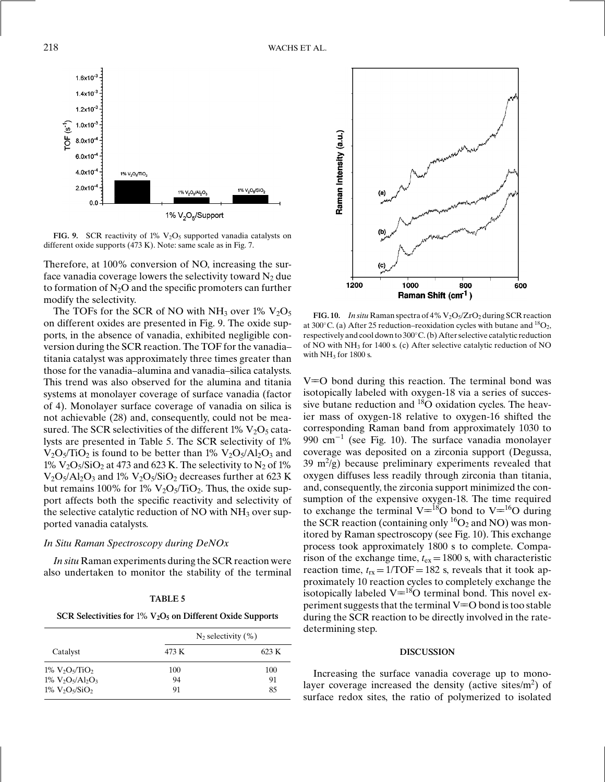

**FIG. 9.** SCR reactivity of  $1\%$  V<sub>2</sub>O<sub>5</sub> supported vanadia catalysts on different oxide supports (473 K). Note: same scale as in Fig. 7.

Therefore, at 100% conversion of NO, increasing the surface vanadia coverage lowers the selectivity toward  $N_2$  due to formation of  $N_2O$  and the specific promoters can further modify the selectivity.

The TOFs for the SCR of NO with NH<sub>3</sub> over  $1\%$  V<sub>2</sub>O<sub>5</sub> on different oxides are presented in Fig. 9. The oxide supports, in the absence of vanadia, exhibited negligible conversion during the SCR reaction. The TOF for the vanadia– titania catalyst was approximately three times greater than those for the vanadia–alumina and vanadia–silica catalysts. This trend was also observed for the alumina and titania systems at monolayer coverage of surface vanadia (factor of 4). Monolayer surface coverage of vanadia on silica is not achievable (28) and, consequently, could not be measured. The SCR selectivities of the different  $1\%$  V<sub>2</sub>O<sub>5</sub> catalysts are presented in Table 5. The SCR selectivity of 1%  $V_2O_5/TiO_2$  is found to be better than 1%  $V_2O_5/Al_2O_3$  and  $1\%$  V<sub>2</sub>O<sub>5</sub>/SiO<sub>2</sub> at 473 and 623 K. The selectivity to N<sub>2</sub> of 1%  $V_2O_5/Al_2O_3$  and 1%  $V_2O_5/SiO_2$  decreases further at 623 K but remains 100% for 1%  $V_2O<sub>5</sub>/TiO<sub>2</sub>$ . Thus, the oxide support affects both the specific reactivity and selectivity of the selective catalytic reduction of NO with NH<sub>3</sub> over supported vanadia catalysts.

## *In Situ Raman Spectroscopy during DeNOx*

*In situ* Raman experiments during the SCR reaction were also undertaken to monitor the stability of the terminal

| TABLE |  |
|-------|--|
|-------|--|

**SCR Selectivities for** 1% **V2O5 on Different Oxide Supports**

| Catalyst                                          | $N_2$ selectivity $(\%)$ |       |
|---------------------------------------------------|--------------------------|-------|
|                                                   | 473 K                    | 623 K |
| $1\% \text{ V}_2\text{O}_5/\text{TiO}_2$          | 100                      | 100   |
| $1\% \text{ V}_2\text{O}_5/\text{Al}_2\text{O}_3$ | 94                       | 91    |
| $1\% \text{ V}_2\text{O}_5/\text{SiO}_2$          | 91                       | 85    |



**FIG. 10.** *In situ* Raman spectra of  $4\%$  V<sub>2</sub>O<sub>5</sub>/ZrO<sub>2</sub> during SCR reaction at 300 $^{\circ}$ C. (a) After 25 reduction–reoxidation cycles with butane and  $^{18}O_2$ , respectively and cool down to 300◦C. (b) After selective catalytic reduction of NO with NH3 for 1400 s. (c) After selective catalytic reduction of NO with  $NH<sub>3</sub>$  for 1800 s.

 $V=O$  bond during this reaction. The terminal bond was isotopically labeled with oxygen-18 via a series of successive butane reduction and  $^{18}$ O oxidation cycles. The heavier mass of oxygen-18 relative to oxygen-16 shifted the corresponding Raman band from approximately 1030 to 990 cm<sup>-1</sup> (see Fig. 10). The surface vanadia monolayer coverage was deposited on a zirconia support (Degussa, 39 m<sup>2</sup>/g) because preliminary experiments revealed that oxygen diffuses less readily through zirconia than titania, and, consequently, the zirconia support minimized the consumption of the expensive oxygen-18. The time required to exchange the terminal  $V=^{18}O$  bond to  $V=^{16}O$  during the SCR reaction (containing only  ${}^{16}O_2$  and NO) was monitored by Raman spectroscopy (see Fig. 10). This exchange process took approximately 1800 s to complete. Comparison of the exchange time,  $t_{ex} = 1800$  s, with characteristic reaction time,  $t_{rx} = 1/TOF = 182$  s, reveals that it took approximately 10 reaction cycles to completely exchange the isotopically labeled  $V=18$ O terminal bond. This novel experiment suggests that the terminal  $V=O$  bond is too stable during the SCR reaction to be directly involved in the ratedetermining step.

## **DISCUSSION**

Increasing the surface vanadia coverage up to monolayer coverage increased the density (active sites/ $m<sup>2</sup>$ ) of surface redox sites, the ratio of polymerized to isolated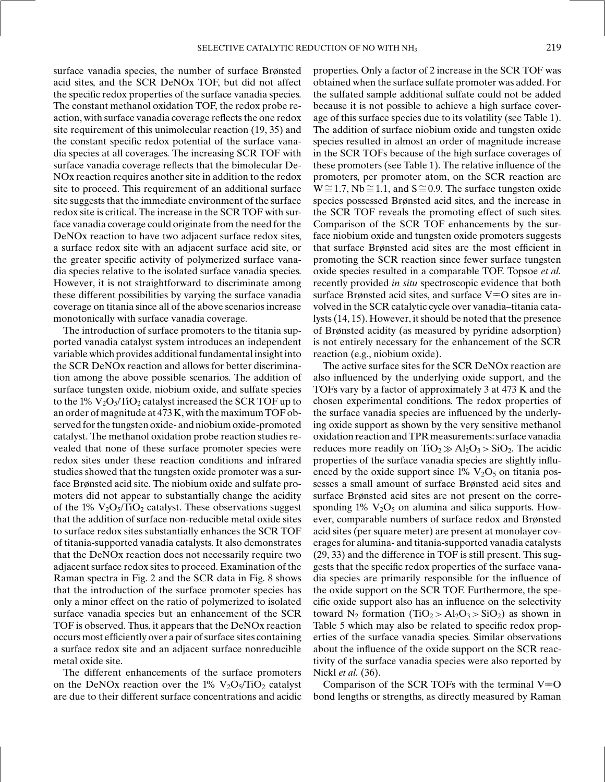surface vanadia species, the number of surface Brønsted acid sites, and the SCR DeNOx TOF, but did not affect the specific redox properties of the surface vanadia species. The constant methanol oxidation TOF, the redox probe reaction, with surface vanadia coverage reflects the one redox site requirement of this unimolecular reaction (19, 35) and the constant specific redox potential of the surface vanadia species at all coverages. The increasing SCR TOF with surface vanadia coverage reflects that the bimolecular De-NOx reaction requires another site in addition to the redox site to proceed. This requirement of an additional surface site suggests that the immediate environment of the surface redox site is critical. The increase in the SCR TOF with surface vanadia coverage could originate from the need for the DeNOx reaction to have two adjacent surface redox sites, a surface redox site with an adjacent surface acid site, or the greater specific activity of polymerized surface vanadia species relative to the isolated surface vanadia species. However, it is not straightforward to discriminate among these different possibilities by varying the surface vanadia coverage on titania since all of the above scenarios increase monotonically with surface vanadia coverage.

The introduction of surface promoters to the titania supported vanadia catalyst system introduces an independent variable which provides additional fundamental insight into the SCR DeNOx reaction and allows for better discrimination among the above possible scenarios. The addition of surface tungsten oxide, niobium oxide, and sulfate species to the  $1\%$  V<sub>2</sub>O<sub>5</sub>/TiO<sub>2</sub> catalyst increased the SCR TOF up to an order of magnitude at 473 K, with the maximum TOF observed for the tungsten oxide- and niobium oxide-promoted catalyst. The methanol oxidation probe reaction studies revealed that none of these surface promoter species were redox sites under these reaction conditions and infrared studies showed that the tungsten oxide promoter was a surface Brønsted acid site. The niobium oxide and sulfate promoters did not appear to substantially change the acidity of the 1%  $V_2O_5/TiO_2$  catalyst. These observations suggest that the addition of surface non-reducible metal oxide sites to surface redox sites substantially enhances the SCR TOF of titania-supported vanadia catalysts. It also demonstrates that the DeNOx reaction does not necessarily require two adjacent surface redox sites to proceed. Examination of the Raman spectra in Fig. 2 and the SCR data in Fig. 8 shows that the introduction of the surface promoter species has only a minor effect on the ratio of polymerized to isolated surface vanadia species but an enhancement of the SCR TOF is observed. Thus, it appears that the DeNOx reaction occurs most efficiently over a pair of surface sites containing a surface redox site and an adjacent surface nonreducible metal oxide site.

The different enhancements of the surface promoters on the DeNOx reaction over the  $1\%$  V<sub>2</sub>O<sub>5</sub>/TiO<sub>2</sub> catalyst are due to their different surface concentrations and acidic properties. Only a factor of 2 increase in the SCR TOF was obtained when the surface sulfate promoter was added. For the sulfated sample additional sulfate could not be added because it is not possible to achieve a high surface coverage of this surface species due to its volatility (see Table 1). The addition of surface niobium oxide and tungsten oxide species resulted in almost an order of magnitude increase in the SCR TOFs because of the high surface coverages of these promoters (see Table 1). The relative influence of the promoters, per promoter atom, on the SCR reaction are  $W \approx 1.7$ , Nb  $\approx 1.1$ , and S  $\approx 0.9$ . The surface tungsten oxide species possessed Brønsted acid sites, and the increase in the SCR TOF reveals the promoting effect of such sites. Comparison of the SCR TOF enhancements by the surface niobium oxide and tungsten oxide promoters suggests that surface Brønsted acid sites are the most efficient in promoting the SCR reaction since fewer surface tungsten oxide species resulted in a comparable TOF. Topsoe *et al.* recently provided *in situ* spectroscopic evidence that both surface Brønsted acid sites, and surface  $V=O$  sites are involved in the SCR catalytic cycle over vanadia–titania catalysts (14, 15). However, it should be noted that the presence of Brønsted acidity (as measured by pyridine adsorption) is not entirely necessary for the enhancement of the SCR reaction (e.g., niobium oxide).

The active surface sites for the SCR DeNOx reaction are also influenced by the underlying oxide support, and the TOFs vary by a factor of approximately 3 at 473 K and the chosen experimental conditions. The redox properties of the surface vanadia species are influenced by the underlying oxide support as shown by the very sensitive methanol oxidation reaction and TPR measurements: surface vanadia reduces more readily on  $TiO_2 \gg Al_2O_3 > SiO_2$ . The acidic properties of the surface vanadia species are slightly influenced by the oxide support since  $1\%$   $V_2O_5$  on titania possesses a small amount of surface Brønsted acid sites and surface Brønsted acid sites are not present on the corresponding  $1\%$   $V_2O_5$  on alumina and silica supports. However, comparable numbers of surface redox and Brønsted acid sites (per square meter) are present at monolayer coverages for alumina- and titania-supported vanadia catalysts (29, 33) and the difference in TOF is still present. This suggests that the specific redox properties of the surface vanadia species are primarily responsible for the influence of the oxide support on the SCR TOF. Furthermore, the specific oxide support also has an influence on the selectivity toward N<sub>2</sub> formation (TiO<sub>2</sub> > Al<sub>2</sub>O<sub>3</sub> > SiO<sub>2</sub>) as shown in Table 5 which may also be related to specific redox properties of the surface vanadia species. Similar observations about the influence of the oxide support on the SCR reactivity of the surface vanadia species were also reported by Nickl *et al.* (36).

Comparison of the SCR TOFs with the terminal  $V=O$ bond lengths or strengths, as directly measured by Raman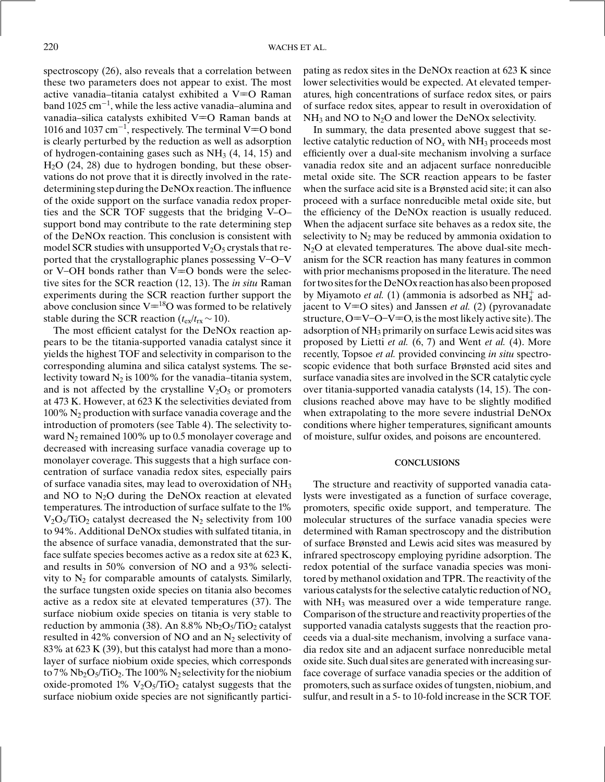spectroscopy (26), also reveals that a correlation between these two parameters does not appear to exist. The most active vanadia–titania catalyst exhibited a  $V=O$  Raman band 1025 cm−<sup>1</sup> , while the less active vanadia–alumina and vanadia–silica catalysts exhibited  $V=O$  Raman bands at 1016 and 1037 cm<sup>-1</sup>, respectively. The terminal V=O bond is clearly perturbed by the reduction as well as adsorption of hydrogen-containing gases such as  $NH<sub>3</sub>$  (4, 14, 15) and  $H<sub>2</sub>O$  (24, 28) due to hydrogen bonding, but these observations do not prove that it is directly involved in the ratedetermining step during the DeNOx reaction. The influence of the oxide support on the surface vanadia redox properties and the SCR TOF suggests that the bridging V–O– support bond may contribute to the rate determining step of the DeNOx reaction. This conclusion is consistent with model SCR studies with unsupported  $V_2O_5$  crystals that reported that the crystallographic planes possessing V–O–V or V–OH bonds rather than  $V=O$  bonds were the selective sites for the SCR reaction (12, 13). The *in situ* Raman experiments during the SCR reaction further support the above conclusion since  $V=18$ <sup>o</sup> was formed to be relatively stable during the SCR reaction ( $t_{ex}/t_{rx} \sim 10$ ).

The most efficient catalyst for the DeNOx reaction appears to be the titania-supported vanadia catalyst since it yields the highest TOF and selectivity in comparison to the corresponding alumina and silica catalyst systems. The selectivity toward  $N_2$  is 100% for the vanadia–titania system, and is not affected by the crystalline  $V_2O_5$  or promoters at 473 K. However, at 623 K the selectivities deviated from  $100\%$  N<sub>2</sub> production with surface vanadia coverage and the introduction of promoters (see Table 4). The selectivity toward  $N_2$  remained 100% up to 0.5 monolayer coverage and decreased with increasing surface vanadia coverage up to monolayer coverage. This suggests that a high surface concentration of surface vanadia redox sites, especially pairs of surface vanadia sites, may lead to overoxidation of NH3 and NO to  $N_2O$  during the DeNOx reaction at elevated temperatures. The introduction of surface sulfate to the 1%  $V_2O_5/TiO_2$  catalyst decreased the N<sub>2</sub> selectivity from 100 to 94%. Additional DeNOx studies with sulfated titania, in the absence of surface vanadia, demonstrated that the surface sulfate species becomes active as a redox site at 623 K, and results in 50% conversion of NO and a 93% selectivity to  $N_2$  for comparable amounts of catalysts. Similarly, the surface tungsten oxide species on titania also becomes active as a redox site at elevated temperatures (37). The surface niobium oxide species on titania is very stable to reduction by ammonia (38). An  $8.8\%$  Nb<sub>2</sub>O<sub>5</sub>/TiO<sub>2</sub> catalyst resulted in 42% conversion of NO and an  $N_2$  selectivity of 83% at 623 K (39), but this catalyst had more than a monolayer of surface niobium oxide species, which corresponds to 7%  $Nb_2O_5/TiO_2$ . The 100%  $N_2$  selectivity for the niobium oxide-promoted 1%  $V_2O_5/TiO_2$  catalyst suggests that the surface niobium oxide species are not significantly participating as redox sites in the DeNOx reaction at 623 K since lower selectivities would be expected. At elevated temperatures, high concentrations of surface redox sites, or pairs of surface redox sites, appear to result in overoxidation of  $NH<sub>3</sub>$  and NO to N<sub>2</sub>O and lower the DeNOx selectivity.

In summary, the data presented above suggest that selective catalytic reduction of  $NO<sub>x</sub>$  with  $NH<sub>3</sub>$  proceeds most efficiently over a dual-site mechanism involving a surface vanadia redox site and an adjacent surface nonreducible metal oxide site. The SCR reaction appears to be faster when the surface acid site is a Brønsted acid site; it can also proceed with a surface nonreducible metal oxide site, but the efficiency of the DeNOx reaction is usually reduced. When the adjacent surface site behaves as a redox site, the selectivity to  $N_2$  may be reduced by ammonia oxidation to N<sub>2</sub>O at elevated temperatures. The above dual-site mechanism for the SCR reaction has many features in common with prior mechanisms proposed in the literature. The need for two sites for the DeNOx reaction has also been proposed by Miyamoto *et al.* (1) (ammonia is adsorbed as NH<sub>4</sub><sup>+</sup> adjacent to  $V=O$  sites) and Janssen *et al.* (2) (pyrovanadate structure,  $O=V-O-V=O$ , is the most likely active site). The adsorption of NH3 primarily on surface Lewis acid sites was proposed by Lietti *et al.* (6, 7) and Went *et al.* (4). More recently, Topsoe *et al.* provided convincing *in situ* spectroscopic evidence that both surface Brønsted acid sites and surface vanadia sites are involved in the SCR catalytic cycle over titania-supported vanadia catalysts (14, 15). The conclusions reached above may have to be slightly modified when extrapolating to the more severe industrial DeNOx conditions where higher temperatures, significant amounts of moisture, sulfur oxides, and poisons are encountered.

## **CONCLUSIONS**

The structure and reactivity of supported vanadia catalysts were investigated as a function of surface coverage, promoters, specific oxide support, and temperature. The molecular structures of the surface vanadia species were determined with Raman spectroscopy and the distribution of surface Brønsted and Lewis acid sites was measured by infrared spectroscopy employing pyridine adsorption. The redox potential of the surface vanadia species was monitored by methanol oxidation and TPR. The reactivity of the various catalysts for the selective catalytic reduction of NO*<sup>x</sup>* with  $NH<sub>3</sub>$  was measured over a wide temperature range. Comparison of the structure and reactivity properties of the supported vanadia catalysts suggests that the reaction proceeds via a dual-site mechanism, involving a surface vanadia redox site and an adjacent surface nonreducible metal oxide site. Such dual sites are generated with increasing surface coverage of surface vanadia species or the addition of promoters, such as surface oxides of tungsten, niobium, and sulfur, and result in a 5- to 10-fold increase in the SCR TOF.